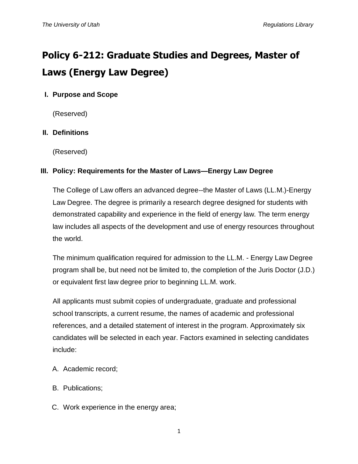# **Policy 6-212: Graduate Studies and Degrees, Master of Laws (Energy Law Degree)**

# **I. Purpose and Scope**

(Reserved)

## **II. Definitions**

(Reserved)

## **III. Policy: Requirements for the Master of Laws—Energy Law Degree**

The College of Law offers an advanced degree--the Master of Laws (LL.M.)-Energy Law Degree. The degree is primarily a research degree designed for students with demonstrated capability and experience in the field of energy law. The term energy law includes all aspects of the development and use of energy resources throughout the world.

The minimum qualification required for admission to the LL.M. - Energy Law Degree program shall be, but need not be limited to, the completion of the Juris Doctor (J.D.) or equivalent first law degree prior to beginning LL.M. work.

All applicants must submit copies of undergraduate, graduate and professional school transcripts, a current resume, the names of academic and professional references, and a detailed statement of interest in the program. Approximately six candidates will be selected in each year. Factors examined in selecting candidates include:

- A. Academic record;
- B. Publications;
- C. Work experience in the energy area;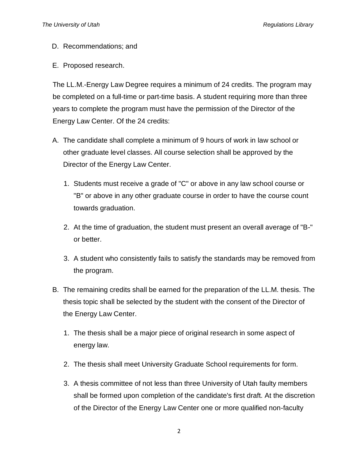- D. Recommendations; and
- E. Proposed research.

The LL.M.-Energy Law Degree requires a minimum of 24 credits. The program may be completed on a full-time or part-time basis. A student requiring more than three years to complete the program must have the permission of the Director of the Energy Law Center. Of the 24 credits:

- A. The candidate shall complete a minimum of 9 hours of work in law school or other graduate level classes. All course selection shall be approved by the Director of the Energy Law Center.
	- 1. Students must receive a grade of "C" or above in any law school course or "B" or above in any other graduate course in order to have the course count towards graduation.
	- 2. At the time of graduation, the student must present an overall average of "B-" or better.
	- 3. A student who consistently fails to satisfy the standards may be removed from the program.
- B. The remaining credits shall be earned for the preparation of the LL.M. thesis. The thesis topic shall be selected by the student with the consent of the Director of the Energy Law Center.
	- 1. The thesis shall be a major piece of original research in some aspect of energy law.
	- 2. The thesis shall meet University Graduate School requirements for form.
	- 3. A thesis committee of not less than three University of Utah faulty members shall be formed upon completion of the candidate's first draft. At the discretion of the Director of the Energy Law Center one or more qualified non-faculty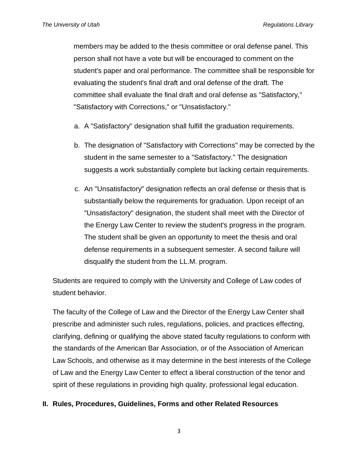members may be added to the thesis committee or oral defense panel. This person shall not have a vote but will be encouraged to comment on the student's paper and oral performance. The committee shall be responsible for evaluating the student's final draft and oral defense of the draft. The committee shall evaluate the final draft and oral defense as "Satisfactory," "Satisfactory with Corrections," or "Unsatisfactory."

- a. A "Satisfactory" designation shall fulfill the graduation requirements.
- b. The designation of "Satisfactory with Corrections" may be corrected by the student in the same semester to a "Satisfactory." The designation suggests a work substantially complete but lacking certain requirements.
- c. An "Unsatisfactory" designation reflects an oral defense or thesis that is substantially below the requirements for graduation. Upon receipt of an "Unsatisfactory" designation, the student shall meet with the Director of the Energy Law Center to review the student's progress in the program. The student shall be given an opportunity to meet the thesis and oral defense requirements in a subsequent semester. A second failure will disqualify the student from the LL.M. program.

Students are required to comply with the University and College of Law codes of student behavior.

The faculty of the College of Law and the Director of the Energy Law Center shall prescribe and administer such rules, regulations, policies, and practices effecting, clarifying, defining or qualifying the above stated faculty regulations to conform with the standards of the American Bar Association, or of the Association of American Law Schools, and otherwise as it may determine in the best interests of the College of Law and the Energy Law Center to effect a liberal construction of the tenor and spirit of these regulations in providing high quality, professional legal education.

#### **II. Rules, Procedures, Guidelines, Forms and other Related Resources**

3